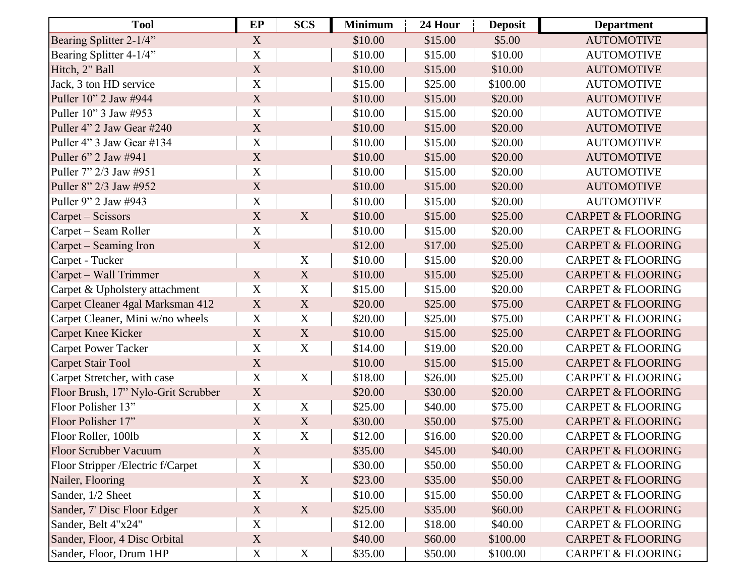| <b>Tool</b>                         | EP          | <b>SCS</b>       | <b>Minimum</b> | 24 Hour | <b>Deposit</b> | <b>Department</b>            |
|-------------------------------------|-------------|------------------|----------------|---------|----------------|------------------------------|
| Bearing Splitter 2-1/4"             | $\mathbf X$ |                  | \$10.00        | \$15.00 | \$5.00         | <b>AUTOMOTIVE</b>            |
| Bearing Splitter 4-1/4"             | X           |                  | \$10.00        | \$15.00 | \$10.00        | <b>AUTOMOTIVE</b>            |
| Hitch, 2" Ball                      | $\mathbf X$ |                  | \$10.00        | \$15.00 | \$10.00        | <b>AUTOMOTIVE</b>            |
| Jack, 3 ton HD service              | $\mathbf X$ |                  | \$15.00        | \$25.00 | \$100.00       | <b>AUTOMOTIVE</b>            |
| Puller 10" 2 Jaw #944               | $\mathbf X$ |                  | \$10.00        | \$15.00 | \$20.00        | <b>AUTOMOTIVE</b>            |
| Puller 10" 3 Jaw #953               | $\mathbf X$ |                  | \$10.00        | \$15.00 | \$20.00        | <b>AUTOMOTIVE</b>            |
| Puller 4" 2 Jaw Gear #240           | $\mathbf X$ |                  | \$10.00        | \$15.00 | \$20.00        | <b>AUTOMOTIVE</b>            |
| Puller 4" 3 Jaw Gear #134           | $\mathbf X$ |                  | \$10.00        | \$15.00 | \$20.00        | <b>AUTOMOTIVE</b>            |
| Puller 6" 2 Jaw #941                | X           |                  | \$10.00        | \$15.00 | \$20.00        | <b>AUTOMOTIVE</b>            |
| Puller 7" 2/3 Jaw #951              | $\mathbf X$ |                  | \$10.00        | \$15.00 | \$20.00        | <b>AUTOMOTIVE</b>            |
| Puller 8" 2/3 Jaw #952              | $\mathbf X$ |                  | \$10.00        | \$15.00 | \$20.00        | <b>AUTOMOTIVE</b>            |
| Puller 9" 2 Jaw #943                | $\mathbf X$ |                  | \$10.00        | \$15.00 | \$20.00        | <b>AUTOMOTIVE</b>            |
| Carpet – Scissors                   | $\mathbf X$ | X                | \$10.00        | \$15.00 | \$25.00        | <b>CARPET &amp; FLOORING</b> |
| Carpet – Seam Roller                | $\mathbf X$ |                  | \$10.00        | \$15.00 | \$20.00        | <b>CARPET &amp; FLOORING</b> |
| Carpet – Seaming Iron               | X           |                  | \$12.00        | \$17.00 | \$25.00        | <b>CARPET &amp; FLOORING</b> |
| Carpet - Tucker                     |             | $\mathbf X$      | \$10.00        | \$15.00 | \$20.00        | <b>CARPET &amp; FLOORING</b> |
| Carpet – Wall Trimmer               | X           | $\mathbf X$      | \$10.00        | \$15.00 | \$25.00        | <b>CARPET &amp; FLOORING</b> |
| Carpet & Upholstery attachment      | $\mathbf X$ | $\mathbf X$      | \$15.00        | \$15.00 | \$20.00        | <b>CARPET &amp; FLOORING</b> |
| Carpet Cleaner 4gal Marksman 412    | $\mathbf X$ | $\mathbf X$      | \$20.00        | \$25.00 | \$75.00        | <b>CARPET &amp; FLOORING</b> |
| Carpet Cleaner, Mini w/no wheels    | $\mathbf X$ | $\mathbf X$      | \$20.00        | \$25.00 | \$75.00        | <b>CARPET &amp; FLOORING</b> |
| <b>Carpet Knee Kicker</b>           | X           | X                | \$10.00        | \$15.00 | \$25.00        | <b>CARPET &amp; FLOORING</b> |
| <b>Carpet Power Tacker</b>          | $\mathbf X$ | $\mathbf X$      | \$14.00        | \$19.00 | \$20.00        | <b>CARPET &amp; FLOORING</b> |
| <b>Carpet Stair Tool</b>            | $\mathbf X$ |                  | \$10.00        | \$15.00 | \$15.00        | <b>CARPET &amp; FLOORING</b> |
| Carpet Stretcher, with case         | X           | $\mathbf X$      | \$18.00        | \$26.00 | \$25.00        | <b>CARPET &amp; FLOORING</b> |
| Floor Brush, 17" Nylo-Grit Scrubber | $\mathbf X$ |                  | \$20.00        | \$30.00 | \$20.00        | <b>CARPET &amp; FLOORING</b> |
| Floor Polisher 13"                  | X           | $\mathbf X$      | \$25.00        | \$40.00 | \$75.00        | <b>CARPET &amp; FLOORING</b> |
| Floor Polisher 17"                  | $\mathbf X$ | $\mathbf X$      | \$30.00        | \$50.00 | \$75.00        | <b>CARPET &amp; FLOORING</b> |
| Floor Roller, 100lb                 | $\mathbf X$ | X                | \$12.00        | \$16.00 | \$20.00        | <b>CARPET &amp; FLOORING</b> |
| <b>Floor Scrubber Vacuum</b>        | X           |                  | \$35.00        | \$45.00 | \$40.00        | <b>CARPET &amp; FLOORING</b> |
| Floor Stripper /Electric f/Carpet   | $\mathbf X$ |                  | \$30.00        | \$50.00 | \$50.00        | <b>CARPET &amp; FLOORING</b> |
| Nailer, Flooring                    | $\mathbf X$ | X                | \$23.00        | \$35.00 | \$50.00        | <b>CARPET &amp; FLOORING</b> |
| Sander, 1/2 Sheet                   | $\mathbf X$ |                  | \$10.00        | \$15.00 | \$50.00        | <b>CARPET &amp; FLOORING</b> |
| Sander, 7' Disc Floor Edger         | X           | X                | \$25.00        | \$35.00 | \$60.00        | <b>CARPET &amp; FLOORING</b> |
| Sander, Belt 4"x24"                 | $\mathbf X$ |                  | \$12.00        | \$18.00 | \$40.00        | <b>CARPET &amp; FLOORING</b> |
| Sander, Floor, 4 Disc Orbital       | $\mathbf X$ |                  | \$40.00        | \$60.00 | \$100.00       | <b>CARPET &amp; FLOORING</b> |
| Sander, Floor, Drum 1HP             | $\mathbf X$ | $\boldsymbol{X}$ | \$35.00        | \$50.00 | \$100.00       | <b>CARPET &amp; FLOORING</b> |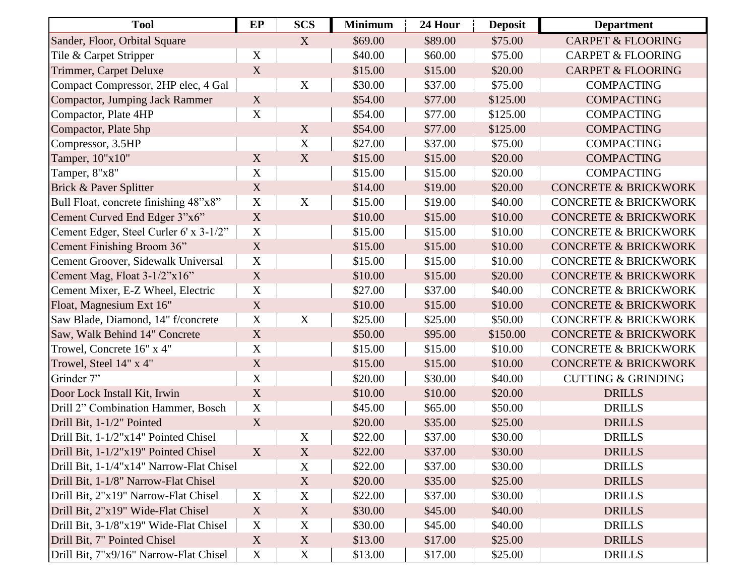| <b>Tool</b>                              | EP                        | <b>SCS</b>       | <b>Minimum</b> | 24 Hour | <b>Deposit</b> | <b>Department</b>               |
|------------------------------------------|---------------------------|------------------|----------------|---------|----------------|---------------------------------|
| Sander, Floor, Orbital Square            |                           | X                | \$69.00        | \$89.00 | \$75.00        | <b>CARPET &amp; FLOORING</b>    |
| Tile & Carpet Stripper                   | $\mathbf X$               |                  | \$40.00        | \$60.00 | \$75.00        | <b>CARPET &amp; FLOORING</b>    |
| Trimmer, Carpet Deluxe                   | $\mathbf X$               |                  | \$15.00        | \$15.00 | \$20.00        | <b>CARPET &amp; FLOORING</b>    |
| Compact Compressor, 2HP elec, 4 Gal      |                           | $\mathbf X$      | \$30.00        | \$37.00 | \$75.00        | <b>COMPACTING</b>               |
| Compactor, Jumping Jack Rammer           | X                         |                  | \$54.00        | \$77.00 | \$125.00       | <b>COMPACTING</b>               |
| Compactor, Plate 4HP                     | $\mathbf X$               |                  | \$54.00        | \$77.00 | \$125.00       | <b>COMPACTING</b>               |
| Compactor, Plate 5hp                     |                           | X                | \$54.00        | \$77.00 | \$125.00       | <b>COMPACTING</b>               |
| Compressor, 3.5HP                        |                           | $\mathbf X$      | \$27.00        | \$37.00 | \$75.00        | <b>COMPACTING</b>               |
| Tamper, 10"x10"                          | X                         | $\mathbf X$      | \$15.00        | \$15.00 | \$20.00        | <b>COMPACTING</b>               |
| Tamper, 8"x8"                            | X                         |                  | \$15.00        | \$15.00 | \$20.00        | <b>COMPACTING</b>               |
| Brick & Paver Splitter                   | X                         |                  | \$14.00        | \$19.00 | \$20.00        | <b>CONCRETE &amp; BRICKWORK</b> |
| Bull Float, concrete finishing 48"x8"    | $\mathbf X$               | X                | \$15.00        | \$19.00 | \$40.00        | <b>CONCRETE &amp; BRICKWORK</b> |
| Cement Curved End Edger 3"x6"            | $\mathbf X$               |                  | \$10.00        | \$15.00 | \$10.00        | <b>CONCRETE &amp; BRICKWORK</b> |
| Cement Edger, Steel Curler 6' x 3-1/2"   | $\mathbf X$               |                  | \$15.00        | \$15.00 | \$10.00        | <b>CONCRETE &amp; BRICKWORK</b> |
| Cement Finishing Broom 36"               | $\mathbf X$               |                  | \$15.00        | \$15.00 | \$10.00        | <b>CONCRETE &amp; BRICKWORK</b> |
| Cement Groover, Sidewalk Universal       | X                         |                  | \$15.00        | \$15.00 | \$10.00        | <b>CONCRETE &amp; BRICKWORK</b> |
| Cement Mag, Float 3-1/2"x16"             | $\mathbf X$               |                  | \$10.00        | \$15.00 | \$20.00        | <b>CONCRETE &amp; BRICKWORK</b> |
| Cement Mixer, E-Z Wheel, Electric        | $\mathbf X$               |                  | \$27.00        | \$37.00 | \$40.00        | <b>CONCRETE &amp; BRICKWORK</b> |
| Float, Magnesium Ext 16"                 | X                         |                  | \$10.00        | \$15.00 | \$10.00        | <b>CONCRETE &amp; BRICKWORK</b> |
| Saw Blade, Diamond, 14" f/concrete       | $\mathbf X$               | $\mathbf X$      | \$25.00        | \$25.00 | \$50.00        | <b>CONCRETE &amp; BRICKWORK</b> |
| Saw, Walk Behind 14" Concrete            | $\mathbf X$               |                  | \$50.00        | \$95.00 | \$150.00       | <b>CONCRETE &amp; BRICKWORK</b> |
| Trowel, Concrete 16" x 4"                | $\mathbf X$               |                  | \$15.00        | \$15.00 | \$10.00        | <b>CONCRETE &amp; BRICKWORK</b> |
| Trowel, Steel 14" x 4"                   | $\mathbf X$               |                  | \$15.00        | \$15.00 | \$10.00        | <b>CONCRETE &amp; BRICKWORK</b> |
| Grinder 7"                               | X                         |                  | \$20.00        | \$30.00 | \$40.00        | <b>CUTTING &amp; GRINDING</b>   |
| Door Lock Install Kit, Irwin             | $\mathbf X$               |                  | \$10.00        | \$10.00 | \$20.00        | <b>DRILLS</b>                   |
| Drill 2" Combination Hammer, Bosch       | $\mathbf X$               |                  | \$45.00        | \$65.00 | \$50.00        | <b>DRILLS</b>                   |
| Drill Bit, 1-1/2" Pointed                | X                         |                  | \$20.00        | \$35.00 | \$25.00        | <b>DRILLS</b>                   |
| Drill Bit, 1-1/2"x14" Pointed Chisel     |                           | $\mathbf X$      | \$22.00        | \$37.00 | \$30.00        | <b>DRILLS</b>                   |
| Drill Bit, 1-1/2"x19" Pointed Chisel     | X                         | X                | \$22.00        | \$37.00 | \$30.00        | <b>DRILLS</b>                   |
| Drill Bit, 1-1/4"x14" Narrow-Flat Chisel |                           | $\mathbf X$      | \$22.00        | \$37.00 | \$30.00        | <b>DRILLS</b>                   |
| Drill Bit, 1-1/8" Narrow-Flat Chisel     |                           | X                | \$20.00        | \$35.00 | \$25.00        | <b>DRILLS</b>                   |
| Drill Bit, 2"x19" Narrow-Flat Chisel     | $\boldsymbol{\mathrm{X}}$ | X                | \$22.00        | \$37.00 | \$30.00        | <b>DRILLS</b>                   |
| Drill Bit, 2"x19" Wide-Flat Chisel       | X                         | X                | \$30.00        | \$45.00 | \$40.00        | <b>DRILLS</b>                   |
| Drill Bit, 3-1/8"x19" Wide-Flat Chisel   | $\mathbf X$               | $\boldsymbol{X}$ | \$30.00        | \$45.00 | \$40.00        | <b>DRILLS</b>                   |
| Drill Bit, 7" Pointed Chisel             | X                         | X                | \$13.00        | \$17.00 | \$25.00        | <b>DRILLS</b>                   |
| Drill Bit, 7"x9/16" Narrow-Flat Chisel   | $\boldsymbol{\mathrm{X}}$ | $\boldsymbol{X}$ | \$13.00        | \$17.00 | \$25.00        | <b>DRILLS</b>                   |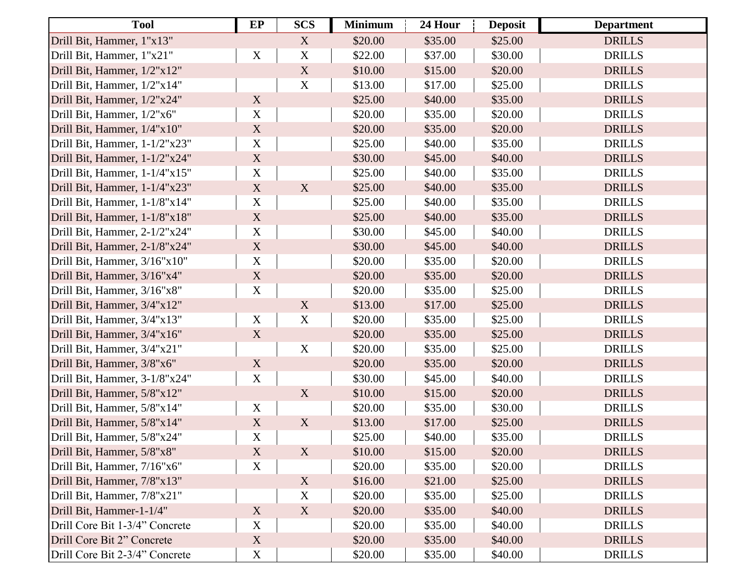| <b>Tool</b>                    | EP                        | <b>SCS</b>                | <b>Minimum</b> | 24 Hour | <b>Deposit</b> | <b>Department</b> |
|--------------------------------|---------------------------|---------------------------|----------------|---------|----------------|-------------------|
| Drill Bit, Hammer, 1"x13"      |                           | X                         | \$20.00        | \$35.00 | \$25.00        | <b>DRILLS</b>     |
| Drill Bit, Hammer, 1"x21"      | $\mathbf X$               | $\mathbf X$               | \$22.00        | \$37.00 | \$30.00        | <b>DRILLS</b>     |
| Drill Bit, Hammer, 1/2"x12"    |                           | $\boldsymbol{\mathrm{X}}$ | \$10.00        | \$15.00 | \$20.00        | <b>DRILLS</b>     |
| Drill Bit, Hammer, 1/2"x14"    |                           | $\mathbf X$               | \$13.00        | \$17.00 | \$25.00        | <b>DRILLS</b>     |
| Drill Bit, Hammer, 1/2"x24"    | X                         |                           | \$25.00        | \$40.00 | \$35.00        | <b>DRILLS</b>     |
| Drill Bit, Hammer, 1/2"x6"     | $\mathbf X$               |                           | \$20.00        | \$35.00 | \$20.00        | <b>DRILLS</b>     |
| Drill Bit, Hammer, 1/4"x10"    | $\mathbf X$               |                           | \$20.00        | \$35.00 | \$20.00        | <b>DRILLS</b>     |
| Drill Bit, Hammer, 1-1/2"x23"  | $\mathbf X$               |                           | \$25.00        | \$40.00 | \$35.00        | <b>DRILLS</b>     |
| Drill Bit, Hammer, 1-1/2"x24"  | $\mathbf X$               |                           | \$30.00        | \$45.00 | \$40.00        | <b>DRILLS</b>     |
| Drill Bit, Hammer, 1-1/4"x15"  | $\mathbf X$               |                           | \$25.00        | \$40.00 | \$35.00        | <b>DRILLS</b>     |
| Drill Bit, Hammer, 1-1/4"x23"  | $\boldsymbol{\mathrm{X}}$ | $\boldsymbol{\mathrm{X}}$ | \$25.00        | \$40.00 | \$35.00        | <b>DRILLS</b>     |
| Drill Bit, Hammer, 1-1/8"x14"  | $\mathbf X$               |                           | \$25.00        | \$40.00 | \$35.00        | <b>DRILLS</b>     |
| Drill Bit, Hammer, 1-1/8"x18"  | $\mathbf X$               |                           | \$25.00        | \$40.00 | \$35.00        | <b>DRILLS</b>     |
| Drill Bit, Hammer, 2-1/2"x24"  | $\mathbf X$               |                           | \$30.00        | \$45.00 | \$40.00        | <b>DRILLS</b>     |
| Drill Bit, Hammer, 2-1/8"x24"  | $\boldsymbol{\mathrm{X}}$ |                           | \$30.00        | \$45.00 | \$40.00        | <b>DRILLS</b>     |
| Drill Bit, Hammer, 3/16"x10"   | $\mathbf X$               |                           | \$20.00        | \$35.00 | \$20.00        | <b>DRILLS</b>     |
| Drill Bit, Hammer, 3/16"x4"    | $\boldsymbol{\mathrm{X}}$ |                           | \$20.00        | \$35.00 | \$20.00        | <b>DRILLS</b>     |
| Drill Bit, Hammer, 3/16"x8"    | $\mathbf X$               |                           | \$20.00        | \$35.00 | \$25.00        | <b>DRILLS</b>     |
| Drill Bit, Hammer, 3/4"x12"    |                           | $\boldsymbol{\mathrm{X}}$ | \$13.00        | \$17.00 | \$25.00        | <b>DRILLS</b>     |
| Drill Bit, Hammer, 3/4"x13"    | $\mathbf X$               | $\mathbf X$               | \$20.00        | \$35.00 | \$25.00        | <b>DRILLS</b>     |
| Drill Bit, Hammer, 3/4"x16"    | $\mathbf X$               |                           | \$20.00        | \$35.00 | \$25.00        | <b>DRILLS</b>     |
| Drill Bit, Hammer, 3/4"x21"    |                           | $\mathbf X$               | \$20.00        | \$35.00 | \$25.00        | <b>DRILLS</b>     |
| Drill Bit, Hammer, 3/8"x6"     | $\mathbf X$               |                           | \$20.00        | \$35.00 | \$20.00        | <b>DRILLS</b>     |
| Drill Bit, Hammer, 3-1/8"x24"  | X                         |                           | \$30.00        | \$45.00 | \$40.00        | <b>DRILLS</b>     |
| Drill Bit, Hammer, 5/8"x12"    |                           | $\mathbf X$               | \$10.00        | \$15.00 | \$20.00        | <b>DRILLS</b>     |
| Drill Bit, Hammer, 5/8"x14"    | X                         |                           | \$20.00        | \$35.00 | \$30.00        | <b>DRILLS</b>     |
| Drill Bit, Hammer, 5/8"x14"    | $\mathbf X$               | $\mathbf X$               | \$13.00        | \$17.00 | \$25.00        | <b>DRILLS</b>     |
| Drill Bit, Hammer, 5/8"x24"    | $\mathbf X$               |                           | \$25.00        | \$40.00 | \$35.00        | <b>DRILLS</b>     |
| Drill Bit, Hammer, 5/8"x8"     | X                         | X                         | \$10.00        | \$15.00 | \$20.00        | <b>DRILLS</b>     |
| Drill Bit, Hammer, 7/16"x6"    | $\mathbf X$               |                           | \$20.00        | \$35.00 | \$20.00        | <b>DRILLS</b>     |
| Drill Bit, Hammer, 7/8"x13"    |                           | X                         | \$16.00        | \$21.00 | \$25.00        | <b>DRILLS</b>     |
| Drill Bit, Hammer, 7/8"x21"    |                           | $\mathbf X$               | \$20.00        | \$35.00 | \$25.00        | <b>DRILLS</b>     |
| Drill Bit, Hammer-1-1/4"       | $X_{\mathcal{C}}$         | X                         | \$20.00        | \$35.00 | \$40.00        | <b>DRILLS</b>     |
| Drill Core Bit 1-3/4" Concrete | $\mathbf X$               |                           | \$20.00        | \$35.00 | \$40.00        | <b>DRILLS</b>     |
| Drill Core Bit 2" Concrete     | $\boldsymbol{\mathrm{X}}$ |                           | \$20.00        | \$35.00 | \$40.00        | <b>DRILLS</b>     |
| Drill Core Bit 2-3/4" Concrete | X                         |                           | \$20.00        | \$35.00 | \$40.00        | <b>DRILLS</b>     |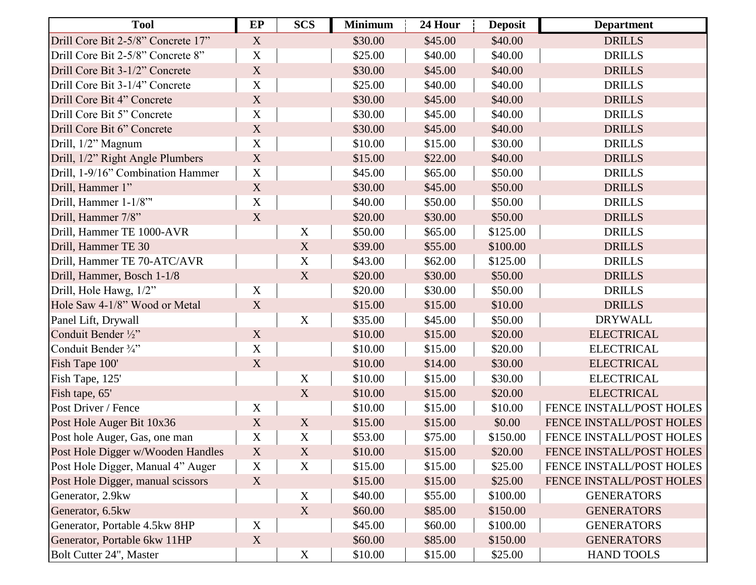| <b>Tool</b>                        | EP                        | <b>SCS</b>                | <b>Minimum</b> | 24 Hour | <b>Deposit</b> | <b>Department</b>        |
|------------------------------------|---------------------------|---------------------------|----------------|---------|----------------|--------------------------|
| Drill Core Bit 2-5/8" Concrete 17" | X                         |                           | \$30.00        | \$45.00 | \$40.00        | <b>DRILLS</b>            |
| Drill Core Bit 2-5/8" Concrete 8"  | $\mathbf X$               |                           | \$25.00        | \$40.00 | \$40.00        | <b>DRILLS</b>            |
| Drill Core Bit 3-1/2" Concrete     | $\mathbf X$               |                           | \$30.00        | \$45.00 | \$40.00        | <b>DRILLS</b>            |
| Drill Core Bit 3-1/4" Concrete     | X                         |                           | \$25.00        | \$40.00 | \$40.00        | <b>DRILLS</b>            |
| Drill Core Bit 4" Concrete         | $\mathbf X$               |                           | \$30.00        | \$45.00 | \$40.00        | <b>DRILLS</b>            |
| Drill Core Bit 5" Concrete         | X                         |                           | \$30.00        | \$45.00 | \$40.00        | <b>DRILLS</b>            |
| Drill Core Bit 6" Concrete         | $\mathbf X$               |                           | \$30.00        | \$45.00 | \$40.00        | <b>DRILLS</b>            |
| Drill, 1/2" Magnum                 | $\mathbf X$               |                           | \$10.00        | \$15.00 | \$30.00        | <b>DRILLS</b>            |
| Drill, 1/2" Right Angle Plumbers   | $\mathbf X$               |                           | \$15.00        | \$22.00 | \$40.00        | <b>DRILLS</b>            |
| Drill, 1-9/16" Combination Hammer  | $\mathbf X$               |                           | \$45.00        | \$65.00 | \$50.00        | <b>DRILLS</b>            |
| Drill, Hammer 1"                   | $\mathbf X$               |                           | \$30.00        | \$45.00 | \$50.00        | <b>DRILLS</b>            |
| Drill, Hammer 1-1/8"               | $\mathbf X$               |                           | \$40.00        | \$50.00 | \$50.00        | <b>DRILLS</b>            |
| Drill, Hammer 7/8"                 | $\mathbf X$               |                           | \$20.00        | \$30.00 | \$50.00        | <b>DRILLS</b>            |
| Drill, Hammer TE 1000-AVR          |                           | $\mathbf X$               | \$50.00        | \$65.00 | \$125.00       | <b>DRILLS</b>            |
| Drill, Hammer TE 30                |                           | $\boldsymbol{\mathrm{X}}$ | \$39.00        | \$55.00 | \$100.00       | <b>DRILLS</b>            |
| Drill, Hammer TE 70-ATC/AVR        |                           | $\mathbf X$               | \$43.00        | \$62.00 | \$125.00       | <b>DRILLS</b>            |
| Drill, Hammer, Bosch 1-1/8         |                           | X                         | \$20.00        | \$30.00 | \$50.00        | <b>DRILLS</b>            |
| Drill, Hole Hawg, 1/2"             | X                         |                           | \$20.00        | \$30.00 | \$50.00        | <b>DRILLS</b>            |
| Hole Saw 4-1/8" Wood or Metal      | X                         |                           | \$15.00        | \$15.00 | \$10.00        | <b>DRILLS</b>            |
| Panel Lift, Drywall                |                           | $\mathbf X$               | \$35.00        | \$45.00 | \$50.00        | <b>DRYWALL</b>           |
| Conduit Bender 1/2"                | $\mathbf X$               |                           | \$10.00        | \$15.00 | \$20.00        | <b>ELECTRICAL</b>        |
| Conduit Bender 3/4"                | $\mathbf X$               |                           | \$10.00        | \$15.00 | \$20.00        | <b>ELECTRICAL</b>        |
| Fish Tape 100'                     | $\mathbf X$               |                           | \$10.00        | \$14.00 | \$30.00        | <b>ELECTRICAL</b>        |
| Fish Tape, 125'                    |                           | $\mathbf X$               | \$10.00        | \$15.00 | \$30.00        | <b>ELECTRICAL</b>        |
| Fish tape, 65'                     |                           | $\mathbf X$               | \$10.00        | \$15.00 | \$20.00        | <b>ELECTRICAL</b>        |
| Post Driver / Fence                | $\mathbf X$               |                           | \$10.00        | \$15.00 | \$10.00        | FENCE INSTALL/POST HOLES |
| Post Hole Auger Bit 10x36          | $\mathbf X$               | $\mathbf X$               | \$15.00        | \$15.00 | \$0.00         | FENCE INSTALL/POST HOLES |
| Post hole Auger, Gas, one man      | $\mathbf X$               | $\mathbf X$               | \$53.00        | \$75.00 | \$150.00       | FENCE INSTALL/POST HOLES |
| Post Hole Digger w/Wooden Handles  | X                         | X                         | \$10.00        | \$15.00 | \$20.00        | FENCE INSTALL/POST HOLES |
| Post Hole Digger, Manual 4" Auger  | $\mathbf X$               | $\mathbf X$               | \$15.00        | \$15.00 | \$25.00        | FENCE INSTALL/POST HOLES |
| Post Hole Digger, manual scissors  | X                         |                           | \$15.00        | \$15.00 | \$25.00        | FENCE INSTALL/POST HOLES |
| Generator, 2.9kw                   |                           | $\mathbf X$               | \$40.00        | \$55.00 | \$100.00       | <b>GENERATORS</b>        |
| Generator, 6.5kw                   |                           | X                         | \$60.00        | \$85.00 | \$150.00       | <b>GENERATORS</b>        |
| Generator, Portable 4.5kw 8HP      | X                         |                           | \$45.00        | \$60.00 | \$100.00       | <b>GENERATORS</b>        |
| Generator, Portable 6kw 11HP       | $\boldsymbol{\mathrm{X}}$ |                           | \$60.00        | \$85.00 | \$150.00       | <b>GENERATORS</b>        |
| Bolt Cutter 24", Master            |                           | $\boldsymbol{\mathrm{X}}$ | \$10.00        | \$15.00 | \$25.00        | <b>HAND TOOLS</b>        |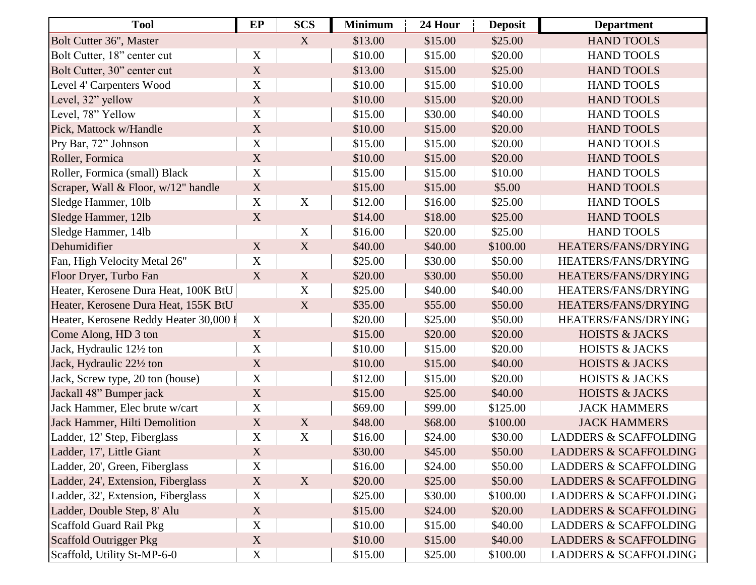| <b>Tool</b>                            | EP          | <b>SCS</b>                | <b>Minimum</b> | 24 Hour | <b>Deposit</b> | <b>Department</b>                |
|----------------------------------------|-------------|---------------------------|----------------|---------|----------------|----------------------------------|
| Bolt Cutter 36", Master                |             | $\boldsymbol{\mathrm{X}}$ | \$13.00        | \$15.00 | \$25.00        | <b>HAND TOOLS</b>                |
| Bolt Cutter, 18" center cut            | X           |                           | \$10.00        | \$15.00 | \$20.00        | <b>HAND TOOLS</b>                |
| Bolt Cutter, 30" center cut            | $\mathbf X$ |                           | \$13.00        | \$15.00 | \$25.00        | <b>HAND TOOLS</b>                |
| Level 4' Carpenters Wood               | X           |                           | \$10.00        | \$15.00 | \$10.00        | <b>HAND TOOLS</b>                |
| Level, 32" yellow                      | $\mathbf X$ |                           | \$10.00        | \$15.00 | \$20.00        | <b>HAND TOOLS</b>                |
| Level, 78" Yellow                      | X           |                           | \$15.00        | \$30.00 | \$40.00        | <b>HAND TOOLS</b>                |
| Pick, Mattock w/Handle                 | $\mathbf X$ |                           | \$10.00        | \$15.00 | \$20.00        | <b>HAND TOOLS</b>                |
| Pry Bar, 72" Johnson                   | $\mathbf X$ |                           | \$15.00        | \$15.00 | \$20.00        | <b>HAND TOOLS</b>                |
| Roller, Formica                        | X           |                           | \$10.00        | \$15.00 | \$20.00        | <b>HAND TOOLS</b>                |
| Roller, Formica (small) Black          | $\mathbf X$ |                           | \$15.00        | \$15.00 | \$10.00        | <b>HAND TOOLS</b>                |
| Scraper, Wall & Floor, w/12" handle    | X           |                           | \$15.00        | \$15.00 | \$5.00         | <b>HAND TOOLS</b>                |
| Sledge Hammer, 10lb                    | $\mathbf X$ | $\mathbf X$               | \$12.00        | \$16.00 | \$25.00        | <b>HAND TOOLS</b>                |
| Sledge Hammer, 12lb                    | $\mathbf X$ |                           | \$14.00        | \$18.00 | \$25.00        | <b>HAND TOOLS</b>                |
| Sledge Hammer, 14lb                    |             | $\mathbf X$               | \$16.00        | \$20.00 | \$25.00        | <b>HAND TOOLS</b>                |
| Dehumidifier                           | $\mathbf X$ | X                         | \$40.00        | \$40.00 | \$100.00       | HEATERS/FANS/DRYING              |
| Fan, High Velocity Metal 26"           | $\mathbf X$ |                           | \$25.00        | \$30.00 | \$50.00        | HEATERS/FANS/DRYING              |
| Floor Dryer, Turbo Fan                 | X           | X                         | \$20.00        | \$30.00 | \$50.00        | HEATERS/FANS/DRYING              |
| Heater, Kerosene Dura Heat, 100K BtU   |             | X                         | \$25.00        | \$40.00 | \$40.00        | HEATERS/FANS/DRYING              |
| Heater, Kerosene Dura Heat, 155K BtU   |             | $\boldsymbol{\mathrm{X}}$ | \$35.00        | \$55.00 | \$50.00        | HEATERS/FANS/DRYING              |
| Heater, Kerosene Reddy Heater 30,000 I | $\mathbf X$ |                           | \$20.00        | \$25.00 | \$50.00        | HEATERS/FANS/DRYING              |
| Come Along, HD 3 ton                   | $\mathbf X$ |                           | \$15.00        | \$20.00 | \$20.00        | <b>HOISTS &amp; JACKS</b>        |
| Jack, Hydraulic 121/2 ton              | $\mathbf X$ |                           | \$10.00        | \$15.00 | \$20.00        | <b>HOISTS &amp; JACKS</b>        |
| Jack, Hydraulic 221/2 ton              | $\mathbf X$ |                           | \$10.00        | \$15.00 | \$40.00        | <b>HOISTS &amp; JACKS</b>        |
| Jack, Screw type, 20 ton (house)       | $\mathbf X$ |                           | \$12.00        | \$15.00 | \$20.00        | <b>HOISTS &amp; JACKS</b>        |
| Jackall 48" Bumper jack                | $\mathbf X$ |                           | \$15.00        | \$25.00 | \$40.00        | <b>HOISTS &amp; JACKS</b>        |
| Jack Hammer, Elec brute w/cart         | $\mathbf X$ |                           | \$69.00        | \$99.00 | \$125.00       | <b>JACK HAMMERS</b>              |
| Jack Hammer, Hilti Demolition          | $\mathbf X$ | X                         | \$48.00        | \$68.00 | \$100.00       | <b>JACK HAMMERS</b>              |
| Ladder, 12' Step, Fiberglass           | X           | $\mathbf X$               | \$16.00        | \$24.00 | \$30.00        | <b>LADDERS &amp; SCAFFOLDING</b> |
| Ladder, 17', Little Giant              | X           |                           | \$30.00        | \$45.00 | \$50.00        | <b>LADDERS &amp; SCAFFOLDING</b> |
| Ladder, 20', Green, Fiberglass         | X           |                           | \$16.00        | \$24.00 | \$50.00        | <b>LADDERS &amp; SCAFFOLDING</b> |
| Ladder, 24', Extension, Fiberglass     | X           | X                         | \$20.00        | \$25.00 | \$50.00        | <b>LADDERS &amp; SCAFFOLDING</b> |
| Ladder, 32', Extension, Fiberglass     | $\mathbf X$ |                           | \$25.00        | \$30.00 | \$100.00       | <b>LADDERS &amp; SCAFFOLDING</b> |
| Ladder, Double Step, 8' Alu            | X           |                           | \$15.00        | \$24.00 | \$20.00        | <b>LADDERS &amp; SCAFFOLDING</b> |
| <b>Scaffold Guard Rail Pkg</b>         | X           |                           | \$10.00        | \$15.00 | \$40.00        | <b>LADDERS &amp; SCAFFOLDING</b> |
| Scaffold Outrigger Pkg                 | $\mathbf X$ |                           | \$10.00        | \$15.00 | \$40.00        | <b>LADDERS &amp; SCAFFOLDING</b> |
| Scaffold, Utility St-MP-6-0            | X           |                           | \$15.00        | \$25.00 | \$100.00       | <b>LADDERS &amp; SCAFFOLDING</b> |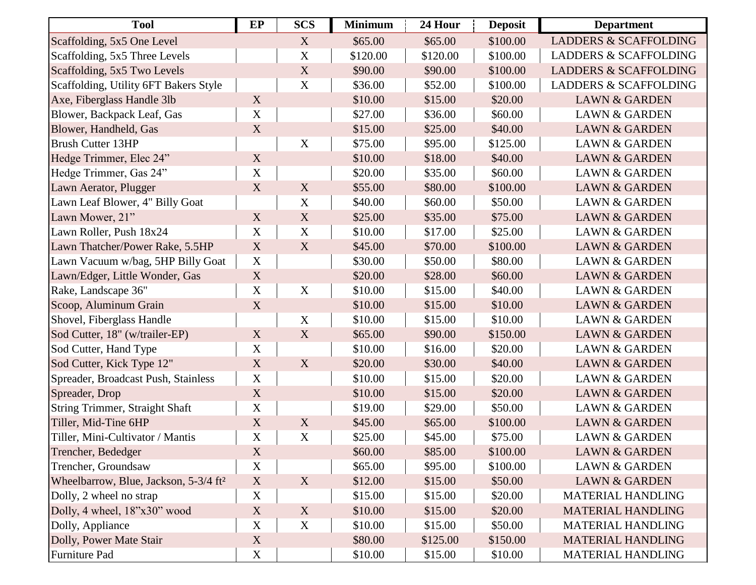| <b>Tool</b>                                       | EP                        | <b>SCS</b>                | <b>Minimum</b> | 24 Hour  | <b>Deposit</b> | <b>Department</b>                |
|---------------------------------------------------|---------------------------|---------------------------|----------------|----------|----------------|----------------------------------|
| Scaffolding, 5x5 One Level                        |                           | X                         | \$65.00        | \$65.00  | \$100.00       | <b>LADDERS &amp; SCAFFOLDING</b> |
| Scaffolding, 5x5 Three Levels                     |                           | $\mathbf X$               | \$120.00       | \$120.00 | \$100.00       | <b>LADDERS &amp; SCAFFOLDING</b> |
| Scaffolding, 5x5 Two Levels                       |                           | $\mathbf X$               | \$90.00        | \$90.00  | \$100.00       | <b>LADDERS &amp; SCAFFOLDING</b> |
| Scaffolding, Utility 6FT Bakers Style             |                           | $\boldsymbol{X}$          | \$36.00        | \$52.00  | \$100.00       | <b>LADDERS &amp; SCAFFOLDING</b> |
| Axe, Fiberglass Handle 3lb                        | X                         |                           | \$10.00        | \$15.00  | \$20.00        | <b>LAWN &amp; GARDEN</b>         |
| Blower, Backpack Leaf, Gas                        | $\mathbf X$               |                           | \$27.00        | \$36.00  | \$60.00        | <b>LAWN &amp; GARDEN</b>         |
| Blower, Handheld, Gas                             | $\mathbf X$               |                           | \$15.00        | \$25.00  | \$40.00        | <b>LAWN &amp; GARDEN</b>         |
| <b>Brush Cutter 13HP</b>                          |                           | $\mathbf X$               | \$75.00        | \$95.00  | \$125.00       | <b>LAWN &amp; GARDEN</b>         |
| Hedge Trimmer, Elec 24"                           | X                         |                           | \$10.00        | \$18.00  | \$40.00        | <b>LAWN &amp; GARDEN</b>         |
| Hedge Trimmer, Gas 24"                            | $\mathbf X$               |                           | \$20.00        | \$35.00  | \$60.00        | <b>LAWN &amp; GARDEN</b>         |
| Lawn Aerator, Plugger                             | X                         | X                         | \$55.00        | \$80.00  | \$100.00       | <b>LAWN &amp; GARDEN</b>         |
| Lawn Leaf Blower, 4" Billy Goat                   |                           | $\mathbf X$               | \$40.00        | \$60.00  | \$50.00        | <b>LAWN &amp; GARDEN</b>         |
| Lawn Mower, 21"                                   | $\mathbf X$               | X                         | \$25.00        | \$35.00  | \$75.00        | <b>LAWN &amp; GARDEN</b>         |
| Lawn Roller, Push 18x24                           | $\mathbf X$               | $\mathbf X$               | \$10.00        | \$17.00  | \$25.00        | <b>LAWN &amp; GARDEN</b>         |
| Lawn Thatcher/Power Rake, 5.5HP                   | $\mathbf X$               | $\boldsymbol{\mathrm{X}}$ | \$45.00        | \$70.00  | \$100.00       | <b>LAWN &amp; GARDEN</b>         |
| Lawn Vacuum w/bag, 5HP Billy Goat                 | $\boldsymbol{\mathrm{X}}$ |                           | \$30.00        | \$50.00  | \$80.00        | <b>LAWN &amp; GARDEN</b>         |
| Lawn/Edger, Little Wonder, Gas                    | $\mathbf X$               |                           | \$20.00        | \$28.00  | \$60.00        | <b>LAWN &amp; GARDEN</b>         |
| Rake, Landscape 36"                               | $\mathbf X$               | $\mathbf X$               | \$10.00        | \$15.00  | \$40.00        | <b>LAWN &amp; GARDEN</b>         |
| Scoop, Aluminum Grain                             | $\mathbf X$               |                           | \$10.00        | \$15.00  | \$10.00        | <b>LAWN &amp; GARDEN</b>         |
| Shovel, Fiberglass Handle                         |                           | $\mathbf X$               | \$10.00        | \$15.00  | \$10.00        | <b>LAWN &amp; GARDEN</b>         |
| Sod Cutter, 18" (w/trailer-EP)                    | $\mathbf X$               | X                         | \$65.00        | \$90.00  | \$150.00       | <b>LAWN &amp; GARDEN</b>         |
| Sod Cutter, Hand Type                             | $\mathbf X$               |                           | \$10.00        | \$16.00  | \$20.00        | <b>LAWN &amp; GARDEN</b>         |
| Sod Cutter, Kick Type 12"                         | $\mathbf X$               | X                         | \$20.00        | \$30.00  | \$40.00        | <b>LAWN &amp; GARDEN</b>         |
| Spreader, Broadcast Push, Stainless               | $\mathbf X$               |                           | \$10.00        | \$15.00  | \$20.00        | <b>LAWN &amp; GARDEN</b>         |
| Spreader, Drop                                    | $\mathbf X$               |                           | \$10.00        | \$15.00  | \$20.00        | <b>LAWN &amp; GARDEN</b>         |
| <b>String Trimmer, Straight Shaft</b>             | $\mathbf X$               |                           | \$19.00        | \$29.00  | \$50.00        | <b>LAWN &amp; GARDEN</b>         |
| Tiller, Mid-Tine 6HP                              | $\mathbf X$               | $\mathbf X$               | \$45.00        | \$65.00  | \$100.00       | <b>LAWN &amp; GARDEN</b>         |
| Tiller, Mini-Cultivator / Mantis                  | $\mathbf X$               | $\boldsymbol{\mathrm{X}}$ | \$25.00        | \$45.00  | \$75.00        | <b>LAWN &amp; GARDEN</b>         |
| Trencher, Bededger                                | X                         |                           | \$60.00        | \$85.00  | \$100.00       | <b>LAWN &amp; GARDEN</b>         |
| Trencher, Groundsaw                               | $\mathbf X$               |                           | \$65.00        | \$95.00  | \$100.00       | <b>LAWN &amp; GARDEN</b>         |
| Wheelbarrow, Blue, Jackson, 5-3/4 ft <sup>2</sup> | $\boldsymbol{\mathrm{X}}$ | X                         | \$12.00        | \$15.00  | \$50.00        | <b>LAWN &amp; GARDEN</b>         |
| Dolly, 2 wheel no strap                           | $\mathbf X$               |                           | \$15.00        | \$15.00  | \$20.00        | <b>MATERIAL HANDLING</b>         |
| Dolly, 4 wheel, 18"x30" wood                      | X                         | X                         | \$10.00        | \$15.00  | \$20.00        | <b>MATERIAL HANDLING</b>         |
| Dolly, Appliance                                  | $\mathbf X$               | $\mathbf X$               | \$10.00        | \$15.00  | \$50.00        | <b>MATERIAL HANDLING</b>         |
| Dolly, Power Mate Stair                           | $\mathbf X$               |                           | \$80.00        | \$125.00 | \$150.00       | <b>MATERIAL HANDLING</b>         |
| Furniture Pad                                     | X                         |                           | \$10.00        | \$15.00  | \$10.00        | <b>MATERIAL HANDLING</b>         |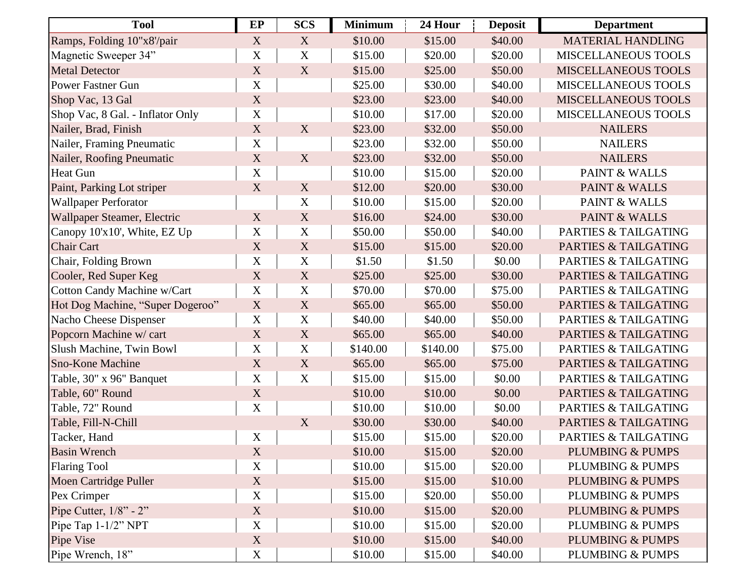| <b>Tool</b>                      | EP          | <b>SCS</b>                | <b>Minimum</b> | 24 Hour  | <b>Deposit</b> | <b>Department</b>               |
|----------------------------------|-------------|---------------------------|----------------|----------|----------------|---------------------------------|
| Ramps, Folding 10"x8'/pair       | X           | X                         | \$10.00        | \$15.00  | \$40.00        | <b>MATERIAL HANDLING</b>        |
| Magnetic Sweeper 34"             | $\mathbf X$ | $\mathbf X$               | \$15.00        | \$20.00  | \$20.00        | <b>MISCELLANEOUS TOOLS</b>      |
| <b>Metal Detector</b>            | X           | $\boldsymbol{\mathrm{X}}$ | \$15.00        | \$25.00  | \$50.00        | MISCELLANEOUS TOOLS             |
| <b>Power Fastner Gun</b>         | X           |                           | \$25.00        | \$30.00  | \$40.00        | <b>MISCELLANEOUS TOOLS</b>      |
| Shop Vac, 13 Gal                 | X           |                           | \$23.00        | \$23.00  | \$40.00        | <b>MISCELLANEOUS TOOLS</b>      |
| Shop Vac, 8 Gal. - Inflator Only | X           |                           | \$10.00        | \$17.00  | \$20.00        | <b>MISCELLANEOUS TOOLS</b>      |
| Nailer, Brad, Finish             | $\mathbf X$ | X                         | \$23.00        | \$32.00  | \$50.00        | <b>NAILERS</b>                  |
| Nailer, Framing Pneumatic        | $\mathbf X$ |                           | \$23.00        | \$32.00  | \$50.00        | <b>NAILERS</b>                  |
| Nailer, Roofing Pneumatic        | $\mathbf X$ | X                         | \$23.00        | \$32.00  | \$50.00        | <b>NAILERS</b>                  |
| <b>Heat Gun</b>                  | X           |                           | \$10.00        | \$15.00  | \$20.00        | PAINT & WALLS                   |
| Paint, Parking Lot striper       | $\mathbf X$ | $\mathbf X$               | \$12.00        | \$20.00  | \$30.00        | <b>PAINT &amp; WALLS</b>        |
| <b>Wallpaper Perforator</b>      |             | $\mathbf X$               | \$10.00        | \$15.00  | \$20.00        | PAINT & WALLS                   |
| Wallpaper Steamer, Electric      | X           | X                         | \$16.00        | \$24.00  | \$30.00        | <b>PAINT &amp; WALLS</b>        |
| Canopy 10'x10', White, EZ Up     | $\mathbf X$ | $\mathbf X$               | \$50.00        | \$50.00  | \$40.00        | PARTIES & TAILGATING            |
| <b>Chair Cart</b>                | X           | X                         | \$15.00        | \$15.00  | \$20.00        | <b>PARTIES &amp; TAILGATING</b> |
| Chair, Folding Brown             | $\mathbf X$ | $\mathbf X$               | \$1.50         | \$1.50   | \$0.00         | PARTIES & TAILGATING            |
| Cooler, Red Super Keg            | $\mathbf X$ | X                         | \$25.00        | \$25.00  | \$30.00        | <b>PARTIES &amp; TAILGATING</b> |
| Cotton Candy Machine w/Cart      | $\mathbf X$ | $\mathbf X$               | \$70.00        | \$70.00  | \$75.00        | PARTIES & TAILGATING            |
| Hot Dog Machine, "Super Dogeroo" | $\mathbf X$ | X                         | \$65.00        | \$65.00  | \$50.00        | <b>PARTIES &amp; TAILGATING</b> |
| Nacho Cheese Dispenser           | X           | $\mathbf X$               | \$40.00        | \$40.00  | \$50.00        | PARTIES & TAILGATING            |
| Popcorn Machine w/ cart          | $\mathbf X$ | X                         | \$65.00        | \$65.00  | \$40.00        | <b>PARTIES &amp; TAILGATING</b> |
| Slush Machine, Twin Bowl         | $\mathbf X$ | $\mathbf X$               | \$140.00       | \$140.00 | \$75.00        | PARTIES & TAILGATING            |
| <b>Sno-Kone Machine</b>          | $\mathbf X$ | X                         | \$65.00        | \$65.00  | \$75.00        | <b>PARTIES &amp; TAILGATING</b> |
| Table, 30" x 96" Banquet         | X           | $\mathbf X$               | \$15.00        | \$15.00  | \$0.00         | PARTIES & TAILGATING            |
| Table, 60" Round                 | $\mathbf X$ |                           | \$10.00        | \$10.00  | \$0.00         | <b>PARTIES &amp; TAILGATING</b> |
| Table, 72" Round                 | $\mathbf X$ |                           | \$10.00        | \$10.00  | \$0.00         | PARTIES & TAILGATING            |
| Table, Fill-N-Chill              |             | $\mathbf X$               | \$30.00        | \$30.00  | \$40.00        | <b>PARTIES &amp; TAILGATING</b> |
| Tacker, Hand                     | X           |                           | \$15.00        | \$15.00  | \$20.00        | <b>PARTIES &amp; TAILGATING</b> |
| <b>Basin Wrench</b>              | X           |                           | \$10.00        | \$15.00  | \$20.00        | <b>PLUMBING &amp; PUMPS</b>     |
| <b>Flaring Tool</b>              | $\mathbf X$ |                           | \$10.00        | \$15.00  | \$20.00        | <b>PLUMBING &amp; PUMPS</b>     |
| Moen Cartridge Puller            | $\mathbf X$ |                           | \$15.00        | \$15.00  | \$10.00        | <b>PLUMBING &amp; PUMPS</b>     |
| Pex Crimper                      | $\mathbf X$ |                           | \$15.00        | \$20.00  | \$50.00        | PLUMBING & PUMPS                |
| Pipe Cutter, $1/8$ " - $2$ "     | $\mathbf X$ |                           | \$10.00        | \$15.00  | \$20.00        | <b>PLUMBING &amp; PUMPS</b>     |
| Pipe Tap $1-1/2$ " NPT           | $\mathbf X$ |                           | \$10.00        | \$15.00  | \$20.00        | PLUMBING & PUMPS                |
| Pipe Vise                        | $\mathbf X$ |                           | \$10.00        | \$15.00  | \$40.00        | <b>PLUMBING &amp; PUMPS</b>     |
| Pipe Wrench, 18"                 | $\mathbf X$ |                           | \$10.00        | \$15.00  | \$40.00        | PLUMBING & PUMPS                |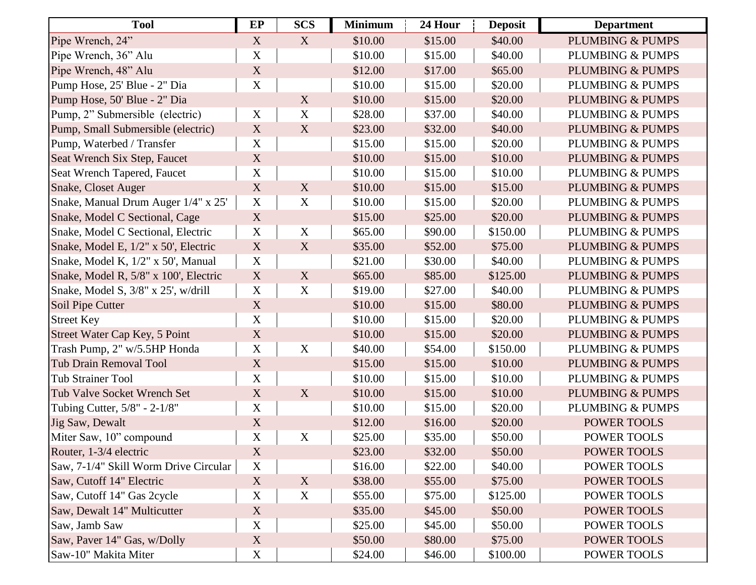| <b>Tool</b>                           | EP                        | <b>SCS</b>  | <b>Minimum</b> | 24 Hour | <b>Deposit</b> | <b>Department</b>           |
|---------------------------------------|---------------------------|-------------|----------------|---------|----------------|-----------------------------|
| Pipe Wrench, 24"                      | X                         | X           | \$10.00        | \$15.00 | \$40.00        | <b>PLUMBING &amp; PUMPS</b> |
| Pipe Wrench, 36" Alu                  | $\mathbf X$               |             | \$10.00        | \$15.00 | \$40.00        | <b>PLUMBING &amp; PUMPS</b> |
| Pipe Wrench, 48" Alu                  | $\mathbf X$               |             | \$12.00        | \$17.00 | \$65.00        | <b>PLUMBING &amp; PUMPS</b> |
| Pump Hose, 25' Blue - 2" Dia          | $\mathbf X$               |             | \$10.00        | \$15.00 | \$20.00        | PLUMBING & PUMPS            |
| Pump Hose, 50' Blue - 2" Dia          |                           | $\mathbf X$ | \$10.00        | \$15.00 | \$20.00        | <b>PLUMBING &amp; PUMPS</b> |
| Pump, 2" Submersible (electric)       | X                         | $\mathbf X$ | \$28.00        | \$37.00 | \$40.00        | PLUMBING & PUMPS            |
| Pump, Small Submersible (electric)    | X                         | X           | \$23.00        | \$32.00 | \$40.00        | <b>PLUMBING &amp; PUMPS</b> |
| Pump, Waterbed / Transfer             | $\mathbf X$               |             | \$15.00        | \$15.00 | \$20.00        | <b>PLUMBING &amp; PUMPS</b> |
| Seat Wrench Six Step, Faucet          | X                         |             | \$10.00        | \$15.00 | \$10.00        | <b>PLUMBING &amp; PUMPS</b> |
| Seat Wrench Tapered, Faucet           | $\mathbf X$               |             | \$10.00        | \$15.00 | \$10.00        | <b>PLUMBING &amp; PUMPS</b> |
| Snake, Closet Auger                   | X                         | X           | \$10.00        | \$15.00 | \$15.00        | <b>PLUMBING &amp; PUMPS</b> |
| Snake, Manual Drum Auger 1/4" x 25"   | $\mathbf X$               | $\mathbf X$ | \$10.00        | \$15.00 | \$20.00        | <b>PLUMBING &amp; PUMPS</b> |
| Snake, Model C Sectional, Cage        | $\mathbf X$               |             | \$15.00        | \$25.00 | \$20.00        | <b>PLUMBING &amp; PUMPS</b> |
| Snake, Model C Sectional, Electric    | $\mathbf X$               | $\mathbf X$ | \$65.00        | \$90.00 | \$150.00       | PLUMBING & PUMPS            |
| Snake, Model E, 1/2" x 50', Electric  | $\boldsymbol{\mathrm{X}}$ | X           | \$35.00        | \$52.00 | \$75.00        | <b>PLUMBING &amp; PUMPS</b> |
| Snake, Model K, 1/2" x 50', Manual    | $\mathbf X$               |             | \$21.00        | \$30.00 | \$40.00        | <b>PLUMBING &amp; PUMPS</b> |
| Snake, Model R, 5/8" x 100', Electric | $\mathbf X$               | X           | \$65.00        | \$85.00 | \$125.00       | <b>PLUMBING &amp; PUMPS</b> |
| Snake, Model S, 3/8" x 25', w/drill   | $\mathbf X$               | $\mathbf X$ | \$19.00        | \$27.00 | \$40.00        | <b>PLUMBING &amp; PUMPS</b> |
| Soil Pipe Cutter                      | X                         |             | \$10.00        | \$15.00 | \$80.00        | <b>PLUMBING &amp; PUMPS</b> |
| <b>Street Key</b>                     | X                         |             | \$10.00        | \$15.00 | \$20.00        | <b>PLUMBING &amp; PUMPS</b> |
| Street Water Cap Key, 5 Point         | $\mathbf X$               |             | \$10.00        | \$15.00 | \$20.00        | <b>PLUMBING &amp; PUMPS</b> |
| Trash Pump, 2" w/5.5HP Honda          | $\mathbf X$               | $\mathbf X$ | \$40.00        | \$54.00 | \$150.00       | PLUMBING & PUMPS            |
| <b>Tub Drain Removal Tool</b>         | $\mathbf X$               |             | \$15.00        | \$15.00 | \$10.00        | <b>PLUMBING &amp; PUMPS</b> |
| <b>Tub Strainer Tool</b>              | $\mathbf X$               |             | \$10.00        | \$15.00 | \$10.00        | PLUMBING & PUMPS            |
| Tub Valve Socket Wrench Set           | $\mathbf X$               | X           | \$10.00        | \$15.00 | \$10.00        | <b>PLUMBING &amp; PUMPS</b> |
| Tubing Cutter, 5/8" - 2-1/8"          | $\mathbf X$               |             | \$10.00        | \$15.00 | \$20.00        | <b>PLUMBING &amp; PUMPS</b> |
| Jig Saw, Dewalt                       | X                         |             | \$12.00        | \$16.00 | \$20.00        | <b>POWER TOOLS</b>          |
| Miter Saw, 10" compound               | $\mathbf X$               | $\mathbf X$ | \$25.00        | \$35.00 | \$50.00        | <b>POWER TOOLS</b>          |
| Router, 1-3/4 electric                | X                         |             | \$23.00        | \$32.00 | \$50.00        | POWER TOOLS                 |
| Saw, 7-1/4" Skill Worm Drive Circular | $\mathbf X$               |             | \$16.00        | \$22.00 | \$40.00        | POWER TOOLS                 |
| Saw, Cutoff 14" Electric              | X                         | X           | \$38.00        | \$55.00 | \$75.00        | <b>POWER TOOLS</b>          |
| Saw, Cutoff 14" Gas 2cycle            | X                         | $\mathbf X$ | \$55.00        | \$75.00 | \$125.00       | <b>POWER TOOLS</b>          |
| Saw, Dewalt 14" Multicutter           | X                         |             | \$35.00        | \$45.00 | \$50.00        | <b>POWER TOOLS</b>          |
| Saw, Jamb Saw                         | X                         |             | \$25.00        | \$45.00 | \$50.00        | POWER TOOLS                 |
| Saw, Paver 14" Gas, w/Dolly           | X                         |             | \$50.00        | \$80.00 | \$75.00        | POWER TOOLS                 |
| Saw-10" Makita Miter                  | $\boldsymbol{X}$          |             | \$24.00        | \$46.00 | \$100.00       | POWER TOOLS                 |